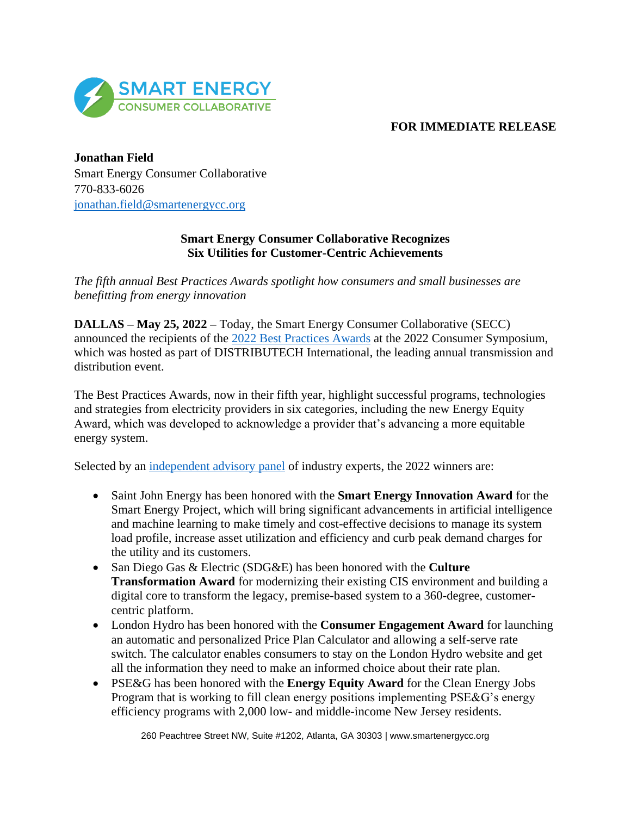

## **FOR IMMEDIATE RELEASE**

**Jonathan Field** Smart Energy Consumer Collaborative 770-833-6026 [jonathan.field@smartenergycc.org](mailto:jonathan.field@smartenergycc.org)

## **Smart Energy Consumer Collaborative Recognizes Six Utilities for Customer-Centric Achievements**

*The fifth annual Best Practices Awards spotlight how consumers and small businesses are benefitting from energy innovation*

**DALLAS – May 25, 2022 –** Today, the Smart Energy Consumer Collaborative (SECC) announced the recipients of the 2022 [Best Practices Awards](https://smartenergycc.org/2022-best-practices-awards-results/) at the 2022 Consumer Symposium, which was hosted as part of DISTRIBUTECH International, the leading annual transmission and distribution event.

The Best Practices Awards, now in their fifth year, highlight successful programs, technologies and strategies from electricity providers in six categories, including the new Energy Equity Award, which was developed to acknowledge a provider that's advancing a more equitable energy system.

Selected by an [independent advisory panel](https://smartenergycc.org/2022-best-practices-awards/advisory-panel/) of industry experts, the 2022 winners are:

- Saint John Energy has been honored with the **Smart Energy Innovation Award** for the Smart Energy Project, which will bring significant advancements in artificial intelligence and machine learning to make timely and cost-effective decisions to manage its system load profile, increase asset utilization and efficiency and curb peak demand charges for the utility and its customers.
- San Diego Gas & Electric (SDG&E) has been honored with the **Culture Transformation Award** for modernizing their existing CIS environment and building a digital core to transform the legacy, premise-based system to a 360-degree, customercentric platform.
- London Hydro has been honored with the **Consumer Engagement Award** for launching an automatic and personalized Price Plan Calculator and allowing a self-serve rate switch. The calculator enables consumers to stay on the London Hydro website and get all the information they need to make an informed choice about their rate plan.
- PSE&G has been honored with the **Energy Equity Award** for the Clean Energy Jobs Program that is working to fill clean energy positions implementing PSE&G's energy efficiency programs with 2,000 low- and middle-income New Jersey residents.

260 Peachtree Street NW, Suite #1202, Atlanta, GA 30303 | www.smartenergycc.org